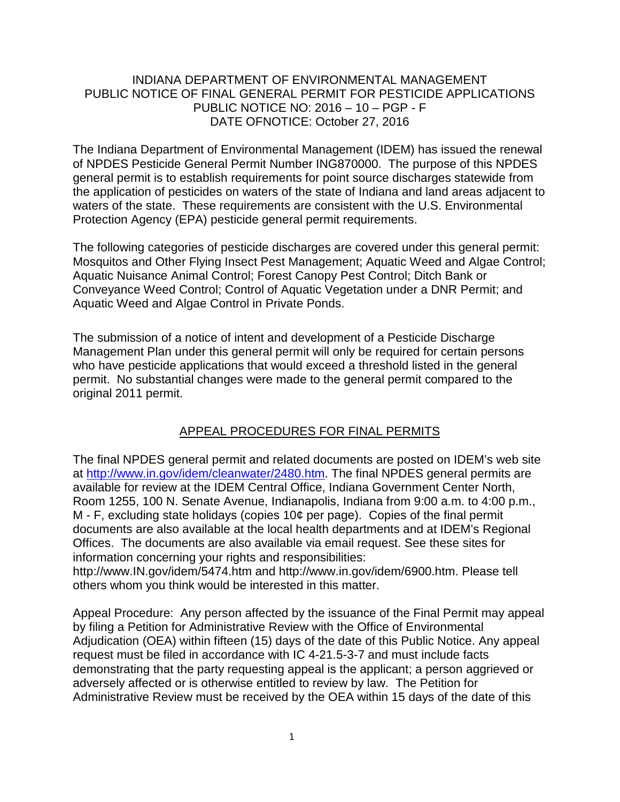## INDIANA DEPARTMENT OF ENVIRONMENTAL MANAGEMENT PUBLIC NOTICE OF FINAL GENERAL PERMIT FOR PESTICIDE APPLICATIONS PUBLIC NOTICE NO: 2016 – 10 – PGP - F DATE OFNOTICE: October 27, 2016

The Indiana Department of Environmental Management (IDEM) has issued the renewal of NPDES Pesticide General Permit Number ING870000. The purpose of this NPDES general permit is to establish requirements for point source discharges statewide from the application of pesticides on waters of the state of Indiana and land areas adjacent to waters of the state. These requirements are consistent with the U.S. Environmental Protection Agency (EPA) pesticide general permit requirements.

The following categories of pesticide discharges are covered under this general permit: Mosquitos and Other Flying Insect Pest Management; Aquatic Weed and Algae Control; Aquatic Nuisance Animal Control; Forest Canopy Pest Control; Ditch Bank or Conveyance Weed Control; Control of Aquatic Vegetation under a DNR Permit; and Aquatic Weed and Algae Control in Private Ponds.

The submission of a notice of intent and development of a Pesticide Discharge Management Plan under this general permit will only be required for certain persons who have pesticide applications that would exceed a threshold listed in the general permit. No substantial changes were made to the general permit compared to the original 2011 permit.

## APPEAL PROCEDURES FOR FINAL PERMITS

The final NPDES general permit and related documents are posted on IDEM's web site at [http://www.in.gov/idem/cleanwater/2480.htm.](http://www.in.gov/idem/cleanwater/2480.htm) The final NPDES general permits are available for review at the IDEM Central Office, Indiana Government Center North, Room 1255, 100 N. Senate Avenue, Indianapolis, Indiana from 9:00 a.m. to 4:00 p.m., M - F, excluding state holidays (copies 10¢ per page). Copies of the final permit documents are also available at the local health departments and at IDEM's Regional Offices. The documents are also available via email request. See these sites for information concerning your rights and responsibilities:

http://www.IN.gov/idem/5474.htm and http://www.in.gov/idem/6900.htm. Please tell others whom you think would be interested in this matter.

Appeal Procedure: Any person affected by the issuance of the Final Permit may appeal by filing a Petition for Administrative Review with the Office of Environmental Adjudication (OEA) within fifteen (15) days of the date of this Public Notice. Any appeal request must be filed in accordance with IC 4-21.5-3-7 and must include facts demonstrating that the party requesting appeal is the applicant; a person aggrieved or adversely affected or is otherwise entitled to review by law. The Petition for Administrative Review must be received by the OEA within 15 days of the date of this